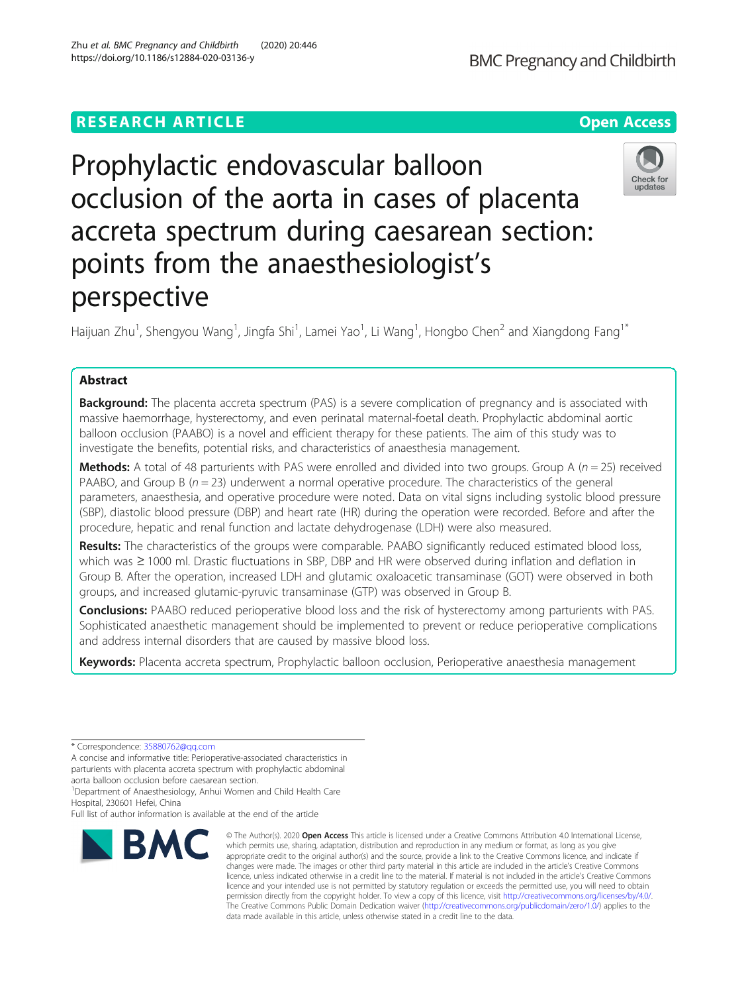# **RESEARCH ARTICLE Example 2014 12:30 The Open Access**

# Prophylactic endovascular balloon occlusion of the aorta in cases of placenta accreta spectrum during caesarean section: points from the anaesthesiologist's perspective

Haijuan Zhu<sup>1</sup>, Shengyou Wang<sup>1</sup>, Jingfa Shi<sup>1</sup>, Lamei Yao<sup>1</sup>, Li Wang<sup>1</sup>, Hongbo Chen<sup>2</sup> and Xiangdong Fang<sup>1\*</sup>

## Abstract

**Background:** The placenta accreta spectrum (PAS) is a severe complication of pregnancy and is associated with massive haemorrhage, hysterectomy, and even perinatal maternal-foetal death. Prophylactic abdominal aortic balloon occlusion (PAABO) is a novel and efficient therapy for these patients. The aim of this study was to investigate the benefits, potential risks, and characteristics of anaesthesia management.

Methods: A total of 48 parturients with PAS were enrolled and divided into two groups. Group A ( $n = 25$ ) received PAABO, and Group B ( $n = 23$ ) underwent a normal operative procedure. The characteristics of the general parameters, anaesthesia, and operative procedure were noted. Data on vital signs including systolic blood pressure (SBP), diastolic blood pressure (DBP) and heart rate (HR) during the operation were recorded. Before and after the procedure, hepatic and renal function and lactate dehydrogenase (LDH) were also measured.

Results: The characteristics of the groups were comparable. PAABO significantly reduced estimated blood loss, which was ≥ 1000 ml. Drastic fluctuations in SBP, DBP and HR were observed during inflation and deflation in Group B. After the operation, increased LDH and glutamic oxaloacetic transaminase (GOT) were observed in both groups, and increased glutamic-pyruvic transaminase (GTP) was observed in Group B.

Conclusions: PAABO reduced perioperative blood loss and the risk of hysterectomy among parturients with PAS. Sophisticated anaesthetic management should be implemented to prevent or reduce perioperative complications and address internal disorders that are caused by massive blood loss.

Keywords: Placenta accreta spectrum, Prophylactic balloon occlusion, Perioperative anaesthesia management

\* Correspondence: [35880762@qq.com](mailto:35880762@qq.com)

A concise and informative title: Perioperative-associated characteristics in parturients with placenta accreta spectrum with prophylactic abdominal aorta balloon occlusion before caesarean section.

<sup>1</sup>Department of Anaesthesiology, Anhui Women and Child Health Care

Hospital, 230601 Hefei, China

Full list of author information is available at the end of the article

data made available in this article, unless otherwise stated in a credit line to the data.

© The Author(s), 2020 **Open Access** This article is licensed under a Creative Commons Attribution 4.0 International License,



Check for updates

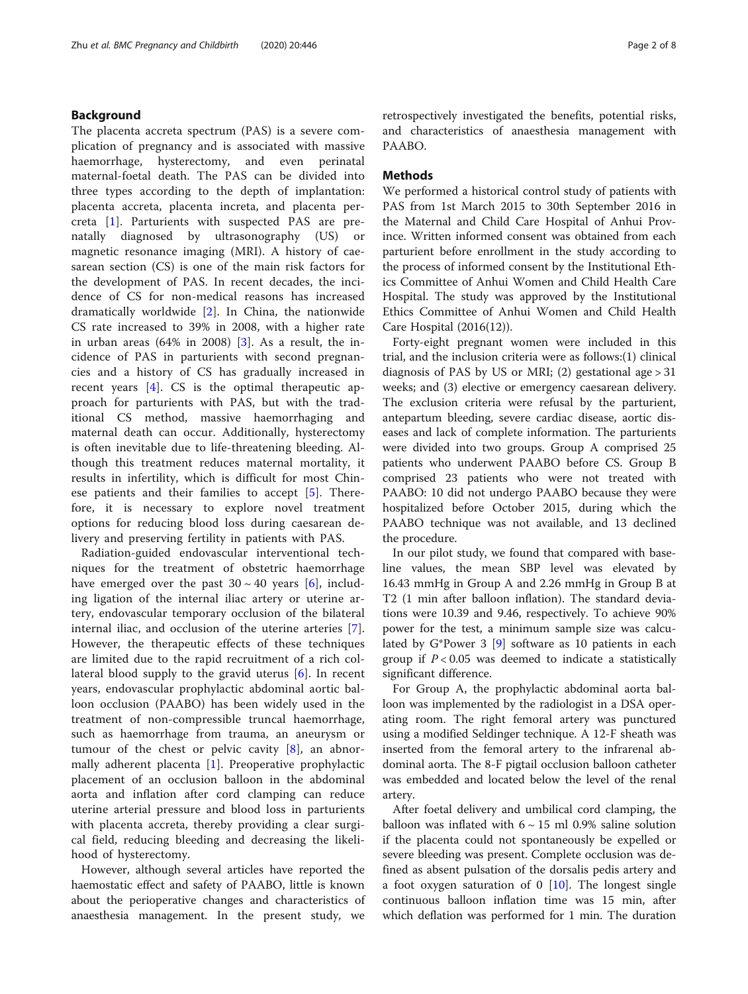## Background

The placenta accreta spectrum (PAS) is a severe complication of pregnancy and is associated with massive haemorrhage, hysterectomy, and even perinatal maternal-foetal death. The PAS can be divided into three types according to the depth of implantation: placenta accreta, placenta increta, and placenta percreta [\[1](#page-7-0)]. Parturients with suspected PAS are prenatally diagnosed by ultrasonography (US) or magnetic resonance imaging (MRI). A history of caesarean section (CS) is one of the main risk factors for the development of PAS. In recent decades, the incidence of CS for non-medical reasons has increased dramatically worldwide [\[2\]](#page-7-0). In China, the nationwide CS rate increased to 39% in 2008, with a higher rate in urban areas (64% in 2008) [[3\]](#page-7-0). As a result, the incidence of PAS in parturients with second pregnancies and a history of CS has gradually increased in recent years [\[4](#page-7-0)]. CS is the optimal therapeutic approach for parturients with PAS, but with the traditional CS method, massive haemorrhaging and maternal death can occur. Additionally, hysterectomy is often inevitable due to life-threatening bleeding. Although this treatment reduces maternal mortality, it results in infertility, which is difficult for most Chinese patients and their families to accept [\[5](#page-7-0)]. Therefore, it is necessary to explore novel treatment options for reducing blood loss during caesarean delivery and preserving fertility in patients with PAS.

Radiation-guided endovascular interventional techniques for the treatment of obstetric haemorrhage have emerged over the past  $30 \sim 40$  years [[6\]](#page-7-0), including ligation of the internal iliac artery or uterine artery, endovascular temporary occlusion of the bilateral internal iliac, and occlusion of the uterine arteries [\[7](#page-7-0)]. However, the therapeutic effects of these techniques are limited due to the rapid recruitment of a rich collateral blood supply to the gravid uterus [\[6](#page-7-0)]. In recent years, endovascular prophylactic abdominal aortic balloon occlusion (PAABO) has been widely used in the treatment of non-compressible truncal haemorrhage, such as haemorrhage from trauma, an aneurysm or tumour of the chest or pelvic cavity  $[8]$  $[8]$ , an abnormally adherent placenta [\[1](#page-7-0)]. Preoperative prophylactic placement of an occlusion balloon in the abdominal aorta and inflation after cord clamping can reduce uterine arterial pressure and blood loss in parturients with placenta accreta, thereby providing a clear surgical field, reducing bleeding and decreasing the likelihood of hysterectomy.

However, although several articles have reported the haemostatic effect and safety of PAABO, little is known about the perioperative changes and characteristics of anaesthesia management. In the present study, we retrospectively investigated the benefits, potential risks, and characteristics of anaesthesia management with PAABO.

## **Methods**

We performed a historical control study of patients with PAS from 1st March 2015 to 30th September 2016 in the Maternal and Child Care Hospital of Anhui Province. Written informed consent was obtained from each parturient before enrollment in the study according to the process of informed consent by the Institutional Ethics Committee of Anhui Women and Child Health Care Hospital. The study was approved by the Institutional Ethics Committee of Anhui Women and Child Health Care Hospital (2016(12)).

Forty-eight pregnant women were included in this trial, and the inclusion criteria were as follows:(1) clinical diagnosis of PAS by US or MRI; (2) gestational age  $>31$ weeks; and (3) elective or emergency caesarean delivery. The exclusion criteria were refusal by the parturient, antepartum bleeding, severe cardiac disease, aortic diseases and lack of complete information. The parturients were divided into two groups. Group A comprised 25 patients who underwent PAABO before CS. Group B comprised 23 patients who were not treated with PAABO: 10 did not undergo PAABO because they were hospitalized before October 2015, during which the PAABO technique was not available, and 13 declined the procedure.

In our pilot study, we found that compared with baseline values, the mean SBP level was elevated by 16.43 mmHg in Group A and 2.26 mmHg in Group B at T2 (1 min after balloon inflation). The standard deviations were 10.39 and 9.46, respectively. To achieve 90% power for the test, a minimum sample size was calculated by G\*Power 3 [[9\]](#page-7-0) software as 10 patients in each group if  $P < 0.05$  was deemed to indicate a statistically significant difference.

For Group A, the prophylactic abdominal aorta balloon was implemented by the radiologist in a DSA operating room. The right femoral artery was punctured using a modified Seldinger technique. A 12-F sheath was inserted from the femoral artery to the infrarenal abdominal aorta. The 8-F pigtail occlusion balloon catheter was embedded and located below the level of the renal artery.

After foetal delivery and umbilical cord clamping, the balloon was inflated with  $6 \sim 15$  ml 0.9% saline solution if the placenta could not spontaneously be expelled or severe bleeding was present. Complete occlusion was defined as absent pulsation of the dorsalis pedis artery and a foot oxygen saturation of 0 [\[10\]](#page-7-0). The longest single continuous balloon inflation time was 15 min, after which deflation was performed for 1 min. The duration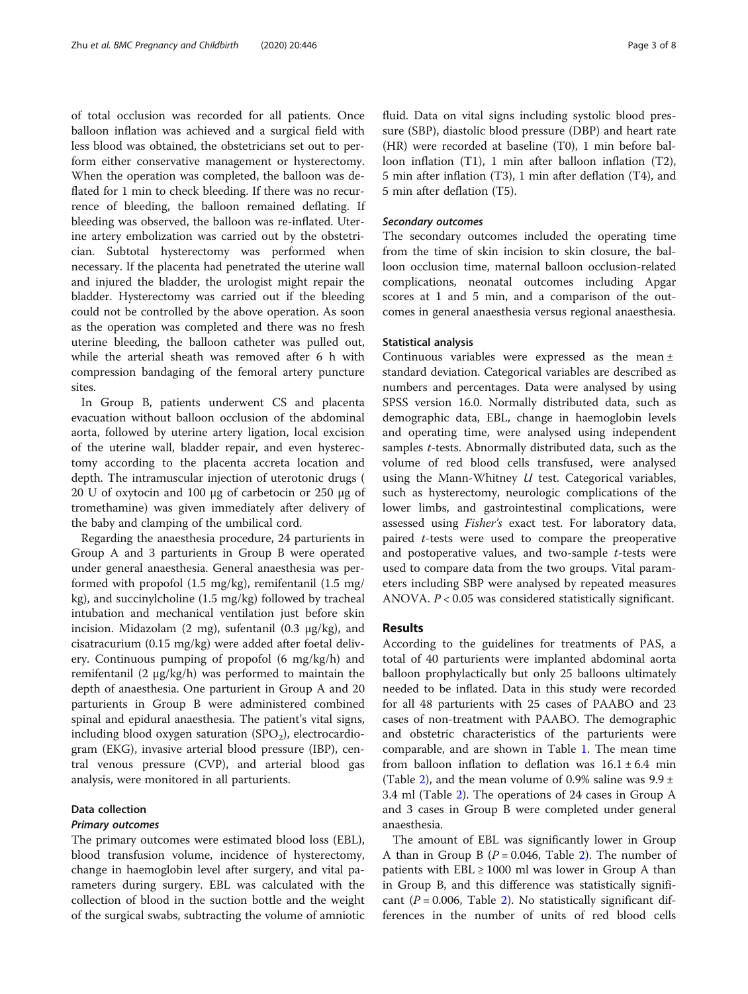of total occlusion was recorded for all patients. Once balloon inflation was achieved and a surgical field with less blood was obtained, the obstetricians set out to perform either conservative management or hysterectomy. When the operation was completed, the balloon was deflated for 1 min to check bleeding. If there was no recurrence of bleeding, the balloon remained deflating. If bleeding was observed, the balloon was re-inflated. Uterine artery embolization was carried out by the obstetrician. Subtotal hysterectomy was performed when necessary. If the placenta had penetrated the uterine wall and injured the bladder, the urologist might repair the bladder. Hysterectomy was carried out if the bleeding could not be controlled by the above operation. As soon as the operation was completed and there was no fresh uterine bleeding, the balloon catheter was pulled out, while the arterial sheath was removed after 6 h with compression bandaging of the femoral artery puncture sites.

In Group B, patients underwent CS and placenta evacuation without balloon occlusion of the abdominal aorta, followed by uterine artery ligation, local excision of the uterine wall, bladder repair, and even hysterectomy according to the placenta accreta location and depth. The intramuscular injection of uterotonic drugs ( 20 U of oxytocin and 100 µg of carbetocin or 250 µg of tromethamine) was given immediately after delivery of the baby and clamping of the umbilical cord.

Regarding the anaesthesia procedure, 24 parturients in Group A and 3 parturients in Group B were operated under general anaesthesia. General anaesthesia was performed with propofol (1.5 mg/kg), remifentanil (1.5 mg/ kg), and succinylcholine (1.5 mg/kg) followed by tracheal intubation and mechanical ventilation just before skin incision. Midazolam  $(2 \text{ mg})$ , sufentanil  $(0.3 \text{ µg/kg})$ , and cisatracurium (0.15 mg/kg) were added after foetal delivery. Continuous pumping of propofol (6 mg/kg/h) and remifentanil (2 µg/kg/h) was performed to maintain the depth of anaesthesia. One parturient in Group A and 20 parturients in Group B were administered combined spinal and epidural anaesthesia. The patient's vital signs, including blood oxygen saturation  $(SPO<sub>2</sub>)$ , electrocardiogram (EKG), invasive arterial blood pressure (IBP), central venous pressure (CVP), and arterial blood gas analysis, were monitored in all parturients.

## Data collection

## Primary outcomes

The primary outcomes were estimated blood loss (EBL), blood transfusion volume, incidence of hysterectomy, change in haemoglobin level after surgery, and vital parameters during surgery. EBL was calculated with the collection of blood in the suction bottle and the weight of the surgical swabs, subtracting the volume of amniotic fluid. Data on vital signs including systolic blood pressure (SBP), diastolic blood pressure (DBP) and heart rate (HR) were recorded at baseline (T0), 1 min before balloon inflation (T1), 1 min after balloon inflation (T2), 5 min after inflation (T3), 1 min after deflation (T4), and 5 min after deflation (T5).

## Secondary outcomes

The secondary outcomes included the operating time from the time of skin incision to skin closure, the balloon occlusion time, maternal balloon occlusion-related complications, neonatal outcomes including Apgar scores at 1 and 5 min, and a comparison of the outcomes in general anaesthesia versus regional anaesthesia.

## Statistical analysis

Continuous variables were expressed as the mean ± standard deviation. Categorical variables are described as numbers and percentages. Data were analysed by using SPSS version 16.0. Normally distributed data, such as demographic data, EBL, change in haemoglobin levels and operating time, were analysed using independent samples *t*-tests. Abnormally distributed data, such as the volume of red blood cells transfused, were analysed using the Mann-Whitney  $U$  test. Categorical variables, such as hysterectomy, neurologic complications of the lower limbs, and gastrointestinal complications, were assessed using Fisher's exact test. For laboratory data, paired t-tests were used to compare the preoperative and postoperative values, and two-sample  $t$ -tests were used to compare data from the two groups. Vital parameters including SBP were analysed by repeated measures ANOVA.  $P < 0.05$  was considered statistically significant.

## Results

According to the guidelines for treatments of PAS, a total of 40 parturients were implanted abdominal aorta balloon prophylactically but only 25 balloons ultimately needed to be inflated. Data in this study were recorded for all 48 parturients with 25 cases of PAABO and 23 cases of non-treatment with PAABO. The demographic and obstetric characteristics of the parturients were comparable, and are shown in Table [1.](#page-3-0) The mean time from balloon inflation to deflation was  $16.1 \pm 6.4$  min (Table [2\)](#page-3-0), and the mean volume of 0.9% saline was  $9.9 \pm$ 3.4 ml (Table [2](#page-3-0)). The operations of 24 cases in Group A and 3 cases in Group B were completed under general anaesthesia.

The amount of EBL was significantly lower in Group A than in Group B ( $P = 0.046$ , Table [2](#page-3-0)). The number of patients with  $EBL \geq 1000$  ml was lower in Group A than in Group B, and this difference was statistically significant ( $P = 0.006$ , Table [2](#page-3-0)). No statistically significant differences in the number of units of red blood cells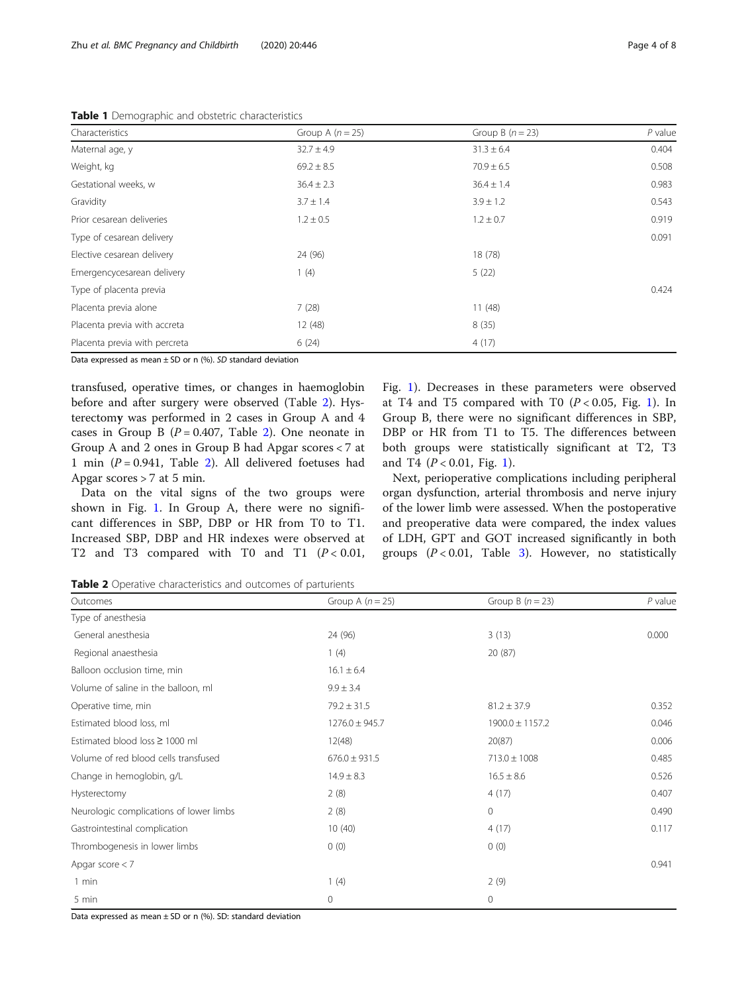<span id="page-3-0"></span>

| Characteristics               | Group A $(n = 25)$ | Group B $(n = 23)$ | $P$ value |
|-------------------------------|--------------------|--------------------|-----------|
| Maternal age, y               | $32.7 \pm 4.9$     | $31.3 \pm 6.4$     | 0.404     |
| Weight, kg                    | $69.2 \pm 8.5$     | $70.9 \pm 6.5$     | 0.508     |
| Gestational weeks, w          | $36.4 \pm 2.3$     | $36.4 \pm 1.4$     | 0.983     |
| Gravidity                     | $3.7 \pm 1.4$      | $3.9 \pm 1.2$      | 0.543     |
| Prior cesarean deliveries     | $1.2 \pm 0.5$      | $1.2 \pm 0.7$      | 0.919     |
| Type of cesarean delivery     |                    |                    | 0.091     |
| Elective cesarean delivery    | 24 (96)            | 18 (78)            |           |
| Emergencycesarean delivery    | 1(4)               | 5(22)              |           |
| Type of placenta previa       |                    |                    | 0.424     |
| Placenta previa alone         | 7(28)              | 11(48)             |           |
| Placenta previa with accreta  | 12(48)             | 8(35)              |           |
| Placenta previa with percreta | 6(24)              | 4(17)              |           |

Data expressed as mean  $\pm$  SD or n (%). SD standard deviation

transfused, operative times, or changes in haemoglobin before and after surgery were observed (Table 2). Hysterectomy was performed in 2 cases in Group A and 4 cases in Group B  $(P = 0.407,$  Table 2). One neonate in Group A and 2 ones in Group B had Apgar scores < 7 at 1 min ( $P = 0.941$ , Table 2). All delivered foetuses had Apgar scores > 7 at 5 min.

Data on the vital signs of the two groups were shown in Fig. [1.](#page-4-0) In Group A, there were no significant differences in SBP, DBP or HR from T0 to T1. Increased SBP, DBP and HR indexes were observed at T2 and T3 compared with T0 and T1  $(P < 0.01$ , Fig. [1\)](#page-4-0). Decreases in these parameters were observed at T4 and T5 compared with T0  $(P < 0.05$ , Fig. [1\)](#page-4-0). In Group B, there were no significant differences in SBP, DBP or HR from T1 to T5. The differences between both groups were statistically significant at T2, T3 and T4 ( $P < 0.01$ , Fig. [1\)](#page-4-0).

Next, perioperative complications including peripheral organ dysfunction, arterial thrombosis and nerve injury of the lower limb were assessed. When the postoperative and preoperative data were compared, the index values of LDH, GPT and GOT increased significantly in both groups  $(P < 0.01$ , Table [3](#page-4-0)). However, no statistically

Table 2 Operative characteristics and outcomes of parturients

| Outcomes                                | Group A $(n = 25)$ | Group B $(n = 23)$  | $P$ value |
|-----------------------------------------|--------------------|---------------------|-----------|
| Type of anesthesia                      |                    |                     |           |
| General anesthesia                      | 24 (96)            | 3(13)               | 0.000     |
| Regional anaesthesia                    | 1(4)               | 20 (87)             |           |
| Balloon occlusion time, min             | $16.1 \pm 6.4$     |                     |           |
| Volume of saline in the balloon, ml     | $9.9 \pm 3.4$      |                     |           |
| Operative time, min                     | $79.2 \pm 31.5$    | $81.2 \pm 37.9$     | 0.352     |
| Estimated blood loss, ml                | $1276.0 \pm 945.7$ | $1900.0 \pm 1157.2$ | 0.046     |
| Estimated blood loss ≥ 1000 ml          | 12(48)             | 20(87)              | 0.006     |
| Volume of red blood cells transfused    | $676.0 \pm 931.5$  | $713.0 \pm 1008$    | 0.485     |
| Change in hemoglobin, g/L               | $14.9 \pm 8.3$     | $16.5 \pm 8.6$      | 0.526     |
| Hysterectomy                            | 2(8)               | 4(17)               | 0.407     |
| Neurologic complications of lower limbs | 2(8)               | $\mathbf{0}$        | 0.490     |
| Gastrointestinal complication           | 10(40)             | 4(17)               | 0.117     |
| Thrombogenesis in lower limbs           | 0(0)               | 0(0)                |           |
| Apgar score $<$ 7                       |                    |                     | 0.941     |
| 1 min                                   | 1(4)               | 2(9)                |           |
| 5 min                                   | 0                  | $\mathbf{0}$        |           |

Data expressed as mean  $\pm$  SD or n (%). SD: standard deviation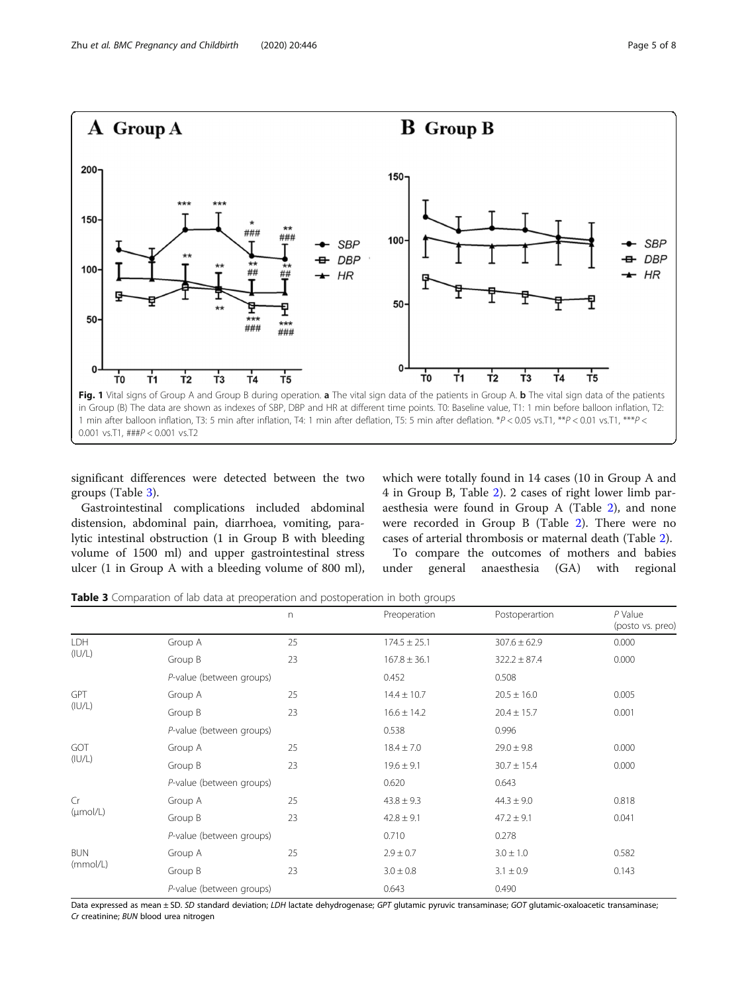<span id="page-4-0"></span>

significant differences were detected between the two groups (Table 3).

Gastrointestinal complications included abdominal distension, abdominal pain, diarrhoea, vomiting, paralytic intestinal obstruction (1 in Group B with bleeding volume of 1500 ml) and upper gastrointestinal stress ulcer (1 in Group A with a bleeding volume of 800 ml), which were totally found in 14 cases (10 in Group A and 4 in Group B, Table [2\)](#page-3-0). 2 cases of right lower limb paraesthesia were found in Group A (Table [2\)](#page-3-0), and none were recorded in Group B (Table [2](#page-3-0)). There were no cases of arterial thrombosis or maternal death (Table [2](#page-3-0)).

To compare the outcomes of mothers and babies under general anaesthesia (GA) with regional

Table 3 Comparation of lab data at preoperation and postoperation in both groups

|                        |                          | $\Gamma$ | Preoperation     | Postoperartion   | $P$ Value<br>(posto vs. preo) |
|------------------------|--------------------------|----------|------------------|------------------|-------------------------------|
| <b>LDH</b><br>(IU/L)   | Group A                  | 25       | $174.5 \pm 25.1$ | $307.6 \pm 62.9$ | 0.000                         |
|                        | Group B                  | 23       | $167.8 \pm 36.1$ | $322.2 \pm 87.4$ | 0.000                         |
|                        | P-value (between groups) |          | 0.452            | 0.508            |                               |
| <b>GPT</b><br>(IU/L)   | Group A                  | 25       | $14.4 \pm 10.7$  | $20.5 \pm 16.0$  | 0.005                         |
|                        | Group B                  | 23       | $16.6 \pm 14.2$  | $20.4 \pm 15.7$  | 0.001                         |
|                        | P-value (between groups) |          | 0.538            | 0.996            |                               |
| GOT<br>(IU/L)          | Group A                  | 25       | $18.4 \pm 7.0$   | $29.0 \pm 9.8$   | 0.000                         |
|                        | Group B                  | 23       | $19.6 \pm 9.1$   | $30.7 \pm 15.4$  | 0.000                         |
|                        | P-value (between groups) |          | 0.620            | 0.643            |                               |
| Cr<br>$(\mu mol/L)$    | Group A                  | 25       | $43.8 \pm 9.3$   | $44.3 \pm 9.0$   | 0.818                         |
|                        | Group B                  | 23       | $42.8 \pm 9.1$   | $47.2 \pm 9.1$   | 0.041                         |
|                        | P-value (between groups) |          | 0.710            | 0.278            |                               |
| <b>BUN</b><br>(mmol/L) | Group A                  | 25       | $2.9 \pm 0.7$    | $3.0 \pm 1.0$    | 0.582                         |
|                        | Group B                  | 23       | $3.0 \pm 0.8$    | $3.1 \pm 0.9$    | 0.143                         |
|                        | P-value (between groups) |          | 0.643            | 0.490            |                               |

Data expressed as mean ± SD. SD standard deviation; LDH lactate dehydrogenase; GPT glutamic pyruvic transaminase; GOT glutamic-oxaloacetic transaminase; Cr creatinine; BUN blood urea nitrogen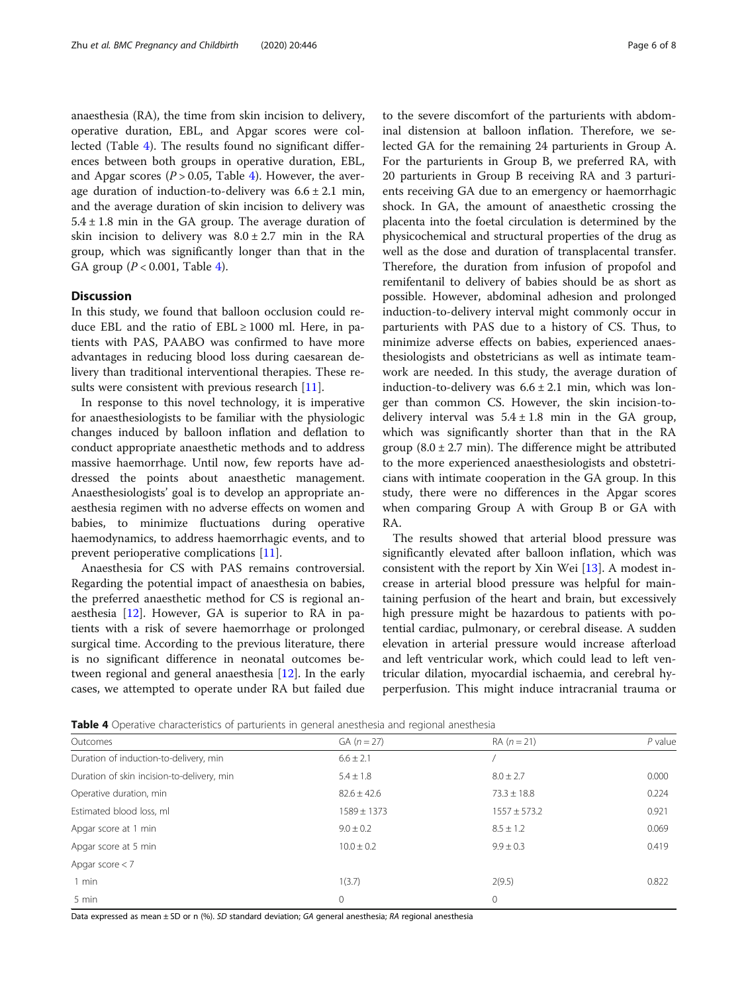anaesthesia (RA), the time from skin incision to delivery, operative duration, EBL, and Apgar scores were collected (Table 4). The results found no significant differences between both groups in operative duration, EBL, and Apgar scores ( $P > 0.05$ , Table 4). However, the average duration of induction-to-delivery was  $6.6 \pm 2.1$  min, and the average duration of skin incision to delivery was  $5.4 \pm 1.8$  min in the GA group. The average duration of skin incision to delivery was  $8.0 \pm 2.7$  min in the RA group, which was significantly longer than that in the GA group  $(P < 0.001$ , Table 4).

## **Discussion**

In this study, we found that balloon occlusion could reduce EBL and the ratio of  $EBL \ge 1000$  ml. Here, in patients with PAS, PAABO was confirmed to have more advantages in reducing blood loss during caesarean delivery than traditional interventional therapies. These re-sults were consistent with previous research [\[11\]](#page-7-0).

In response to this novel technology, it is imperative for anaesthesiologists to be familiar with the physiologic changes induced by balloon inflation and deflation to conduct appropriate anaesthetic methods and to address massive haemorrhage. Until now, few reports have addressed the points about anaesthetic management. Anaesthesiologists' goal is to develop an appropriate anaesthesia regimen with no adverse effects on women and babies, to minimize fluctuations during operative haemodynamics, to address haemorrhagic events, and to prevent perioperative complications [[11](#page-7-0)].

Anaesthesia for CS with PAS remains controversial. Regarding the potential impact of anaesthesia on babies, the preferred anaesthetic method for CS is regional anaesthesia [[12\]](#page-7-0). However, GA is superior to RA in patients with a risk of severe haemorrhage or prolonged surgical time. According to the previous literature, there is no significant difference in neonatal outcomes between regional and general anaesthesia [\[12](#page-7-0)]. In the early cases, we attempted to operate under RA but failed due to the severe discomfort of the parturients with abdominal distension at balloon inflation. Therefore, we selected GA for the remaining 24 parturients in Group A. For the parturients in Group B, we preferred RA, with 20 parturients in Group B receiving RA and 3 parturients receiving GA due to an emergency or haemorrhagic shock. In GA, the amount of anaesthetic crossing the placenta into the foetal circulation is determined by the physicochemical and structural properties of the drug as well as the dose and duration of transplacental transfer. Therefore, the duration from infusion of propofol and remifentanil to delivery of babies should be as short as possible. However, abdominal adhesion and prolonged induction-to-delivery interval might commonly occur in parturients with PAS due to a history of CS. Thus, to minimize adverse effects on babies, experienced anaesthesiologists and obstetricians as well as intimate teamwork are needed. In this study, the average duration of induction-to-delivery was  $6.6 \pm 2.1$  min, which was longer than common CS. However, the skin incision-todelivery interval was  $5.4 \pm 1.8$  min in the GA group, which was significantly shorter than that in the RA group  $(8.0 \pm 2.7 \text{ min})$ . The difference might be attributed to the more experienced anaesthesiologists and obstetricians with intimate cooperation in the GA group. In this study, there were no differences in the Apgar scores when comparing Group A with Group B or GA with RA.

The results showed that arterial blood pressure was significantly elevated after balloon inflation, which was consistent with the report by Xin Wei [\[13](#page-7-0)]. A modest increase in arterial blood pressure was helpful for maintaining perfusion of the heart and brain, but excessively high pressure might be hazardous to patients with potential cardiac, pulmonary, or cerebral disease. A sudden elevation in arterial pressure would increase afterload and left ventricular work, which could lead to left ventricular dilation, myocardial ischaemia, and cerebral hyperperfusion. This might induce intracranial trauma or

|--|

| Outcomes                                   | $GA (n = 27)$   | $RA (n = 21)$    | $P$ value |
|--------------------------------------------|-----------------|------------------|-----------|
| Duration of induction-to-delivery, min     | $6.6 \pm 2.1$   |                  |           |
| Duration of skin incision-to-delivery, min | $5.4 \pm 1.8$   | $8.0 \pm 2.7$    | 0.000     |
| Operative duration, min                    | $82.6 \pm 42.6$ | $73.3 \pm 18.8$  | 0.224     |
| Estimated blood loss, ml                   | $1589 \pm 1373$ | $1557 \pm 573.2$ | 0.921     |
| Apgar score at 1 min                       | $9.0 \pm 0.2$   | $8.5 \pm 1.2$    | 0.069     |
| Apgar score at 5 min                       | $10.0 \pm 0.2$  | $9.9 \pm 0.3$    | 0.419     |
| Apgar score $< 7$                          |                 |                  |           |
| $1$ min                                    | 1(3.7)          | 2(9.5)           | 0.822     |
| 5 min                                      | 0               | 0                |           |

Data expressed as mean ± SD or n (%). SD standard deviation; GA general anesthesia; RA regional anesthesia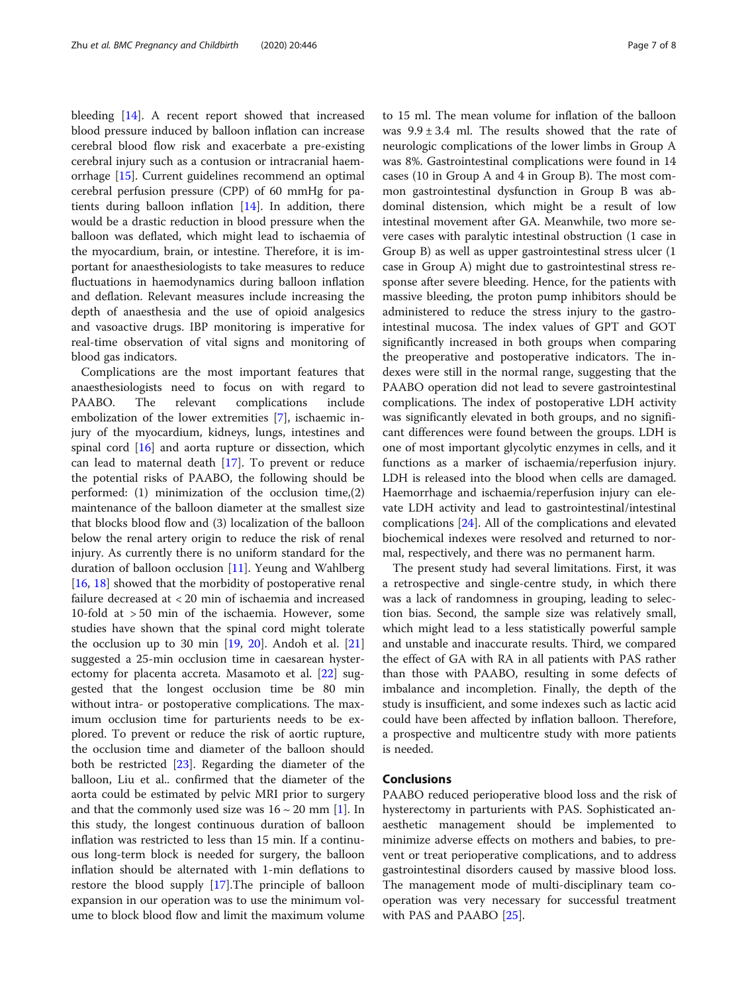bleeding [[14\]](#page-7-0). A recent report showed that increased blood pressure induced by balloon inflation can increase cerebral blood flow risk and exacerbate a pre-existing cerebral injury such as a contusion or intracranial haemorrhage [[15](#page-7-0)]. Current guidelines recommend an optimal cerebral perfusion pressure (CPP) of 60 mmHg for patients during balloon inflation [\[14](#page-7-0)]. In addition, there would be a drastic reduction in blood pressure when the balloon was deflated, which might lead to ischaemia of the myocardium, brain, or intestine. Therefore, it is important for anaesthesiologists to take measures to reduce fluctuations in haemodynamics during balloon inflation and deflation. Relevant measures include increasing the depth of anaesthesia and the use of opioid analgesics and vasoactive drugs. IBP monitoring is imperative for real-time observation of vital signs and monitoring of blood gas indicators.

Complications are the most important features that anaesthesiologists need to focus on with regard to PAABO. The relevant complications include embolization of the lower extremities [[7\]](#page-7-0), ischaemic injury of the myocardium, kidneys, lungs, intestines and spinal cord  $[16]$  $[16]$  and aorta rupture or dissection, which can lead to maternal death [\[17](#page-7-0)]. To prevent or reduce the potential risks of PAABO, the following should be performed: (1) minimization of the occlusion time,(2) maintenance of the balloon diameter at the smallest size that blocks blood flow and (3) localization of the balloon below the renal artery origin to reduce the risk of renal injury. As currently there is no uniform standard for the duration of balloon occlusion [[11](#page-7-0)]. Yeung and Wahlberg [[16,](#page-7-0) [18\]](#page-7-0) showed that the morbidity of postoperative renal failure decreased at < 20 min of ischaemia and increased 10-fold at > 50 min of the ischaemia. However, some studies have shown that the spinal cord might tolerate the occlusion up to 30 min [[19](#page-7-0), [20](#page-7-0)]. Andoh et al. [[21](#page-7-0)] suggested a 25-min occlusion time in caesarean hysterectomy for placenta accreta. Masamoto et al. [[22\]](#page-7-0) suggested that the longest occlusion time be 80 min without intra- or postoperative complications. The maximum occlusion time for parturients needs to be explored. To prevent or reduce the risk of aortic rupture, the occlusion time and diameter of the balloon should both be restricted [[23\]](#page-7-0). Regarding the diameter of the balloon, Liu et al.. confirmed that the diameter of the aorta could be estimated by pelvic MRI prior to surgery and that the commonly used size was  $16 \sim 20$  mm [[1\]](#page-7-0). In this study, the longest continuous duration of balloon inflation was restricted to less than 15 min. If a continuous long-term block is needed for surgery, the balloon inflation should be alternated with 1-min deflations to restore the blood supply [\[17\]](#page-7-0).The principle of balloon expansion in our operation was to use the minimum volume to block blood flow and limit the maximum volume to 15 ml. The mean volume for inflation of the balloon was  $9.9 \pm 3.4$  ml. The results showed that the rate of neurologic complications of the lower limbs in Group A was 8%. Gastrointestinal complications were found in 14 cases (10 in Group A and 4 in Group B). The most common gastrointestinal dysfunction in Group B was abdominal distension, which might be a result of low intestinal movement after GA. Meanwhile, two more severe cases with paralytic intestinal obstruction (1 case in Group B) as well as upper gastrointestinal stress ulcer (1 case in Group A) might due to gastrointestinal stress response after severe bleeding. Hence, for the patients with massive bleeding, the proton pump inhibitors should be administered to reduce the stress injury to the gastrointestinal mucosa. The index values of GPT and GOT significantly increased in both groups when comparing the preoperative and postoperative indicators. The indexes were still in the normal range, suggesting that the PAABO operation did not lead to severe gastrointestinal complications. The index of postoperative LDH activity was significantly elevated in both groups, and no significant differences were found between the groups. LDH is one of most important glycolytic enzymes in cells, and it functions as a marker of ischaemia/reperfusion injury. LDH is released into the blood when cells are damaged. Haemorrhage and ischaemia/reperfusion injury can elevate LDH activity and lead to gastrointestinal/intestinal complications [[24\]](#page-7-0). All of the complications and elevated biochemical indexes were resolved and returned to normal, respectively, and there was no permanent harm.

The present study had several limitations. First, it was a retrospective and single-centre study, in which there was a lack of randomness in grouping, leading to selection bias. Second, the sample size was relatively small, which might lead to a less statistically powerful sample and unstable and inaccurate results. Third, we compared the effect of GA with RA in all patients with PAS rather than those with PAABO, resulting in some defects of imbalance and incompletion. Finally, the depth of the study is insufficient, and some indexes such as lactic acid could have been affected by inflation balloon. Therefore, a prospective and multicentre study with more patients is needed.

## Conclusions

PAABO reduced perioperative blood loss and the risk of hysterectomy in parturients with PAS. Sophisticated anaesthetic management should be implemented to minimize adverse effects on mothers and babies, to prevent or treat perioperative complications, and to address gastrointestinal disorders caused by massive blood loss. The management mode of multi-disciplinary team cooperation was very necessary for successful treatment with PAS and PAABO [[25\]](#page-7-0).